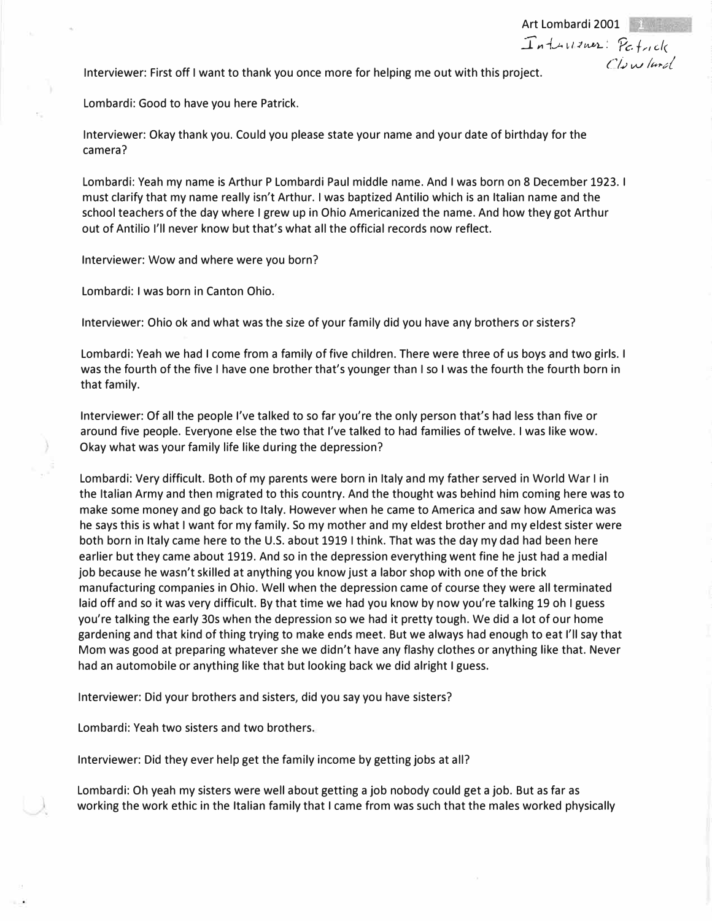Interviewer: First off I want to thank you once more for helping me out with this project.

Lombardi: Good to have you here Patrick.

Interviewer: Okay thank you. Could you please state your name and your date of birthday for the camera?

Lombardi: Yeah my name is Arthur P Lombardi Paul middle name. And I was born on 8 December 1923. I must clarify that my name really isn't Arthur. I was baptized Antilio which is an Italian name and the school teachers of the day where I grew up in Ohio Americanized the name. And how they got Arthur out of Antilio I'll never know but that's what all the official records now reflect.

Art Lombardi 2001  $I$ nthurmer: Petrick

*('/,,; w //#,:,(* 

Interviewer: Wow and where were you born?

Lombardi: I was born in Canton Ohio.

Interviewer: Ohio ok and what was the size of your family did you have any brothers or sisters?

Lombardi: Yeah we had I come from a family of five children. There were three of us boys and two girls. I was the fourth of the five I have one brother that's younger than I so I was the fourth the fourth born in that family.

Interviewer: Of all the people I've talked to so far you're the only person that's had less than five or around five people. Everyone else the two that I've talked to had families of twelve. I was like wow. Okay what was your family life like during the depression?

Lombardi: Very difficult. Both of my parents were born in Italy and my father served in World War I in the Italian Army and then migrated to this country. And the thought was behind him coming here was to make some money and go back to Italy. However when he came to America and saw how America was he says this is what I want for my family. So my mother and my eldest brother and my eldest sister were both born in Italy came here to the U.S. about 1919 I think. That was the day my dad had been here earlier but they came about 1919. And so in the depression everything went fine he just had a medial job because he wasn't skilled at anything you know just a labor shop with one of the brick manufacturing companies in Ohio. Well when the depression came of course they were all terminated laid off and so it was very difficult. By that time we had you know by now you're talking 19 oh I guess you're talking the early 30s when the depression so we had it pretty tough. We did a lot of our home gardening and that kind of thing trying to make ends meet. But we always had enough to eat I'll say that Mom was good at preparing whatever she we didn't have any flashy clothes or anything like that. Never had an automobile or anything like that but looking back we did alright I guess.

Interviewer: Did your brothers and sisters, did you say you have sisters?

Lombardi: Yeah two sisters and two brothers.

Interviewer: Did they ever help get the family income by getting jobs at all?

Lombardi: Oh yeah my sisters were well about getting a job nobody could get a job. But as far as working the work ethic in the Italian family that I came from was such that the males worked physically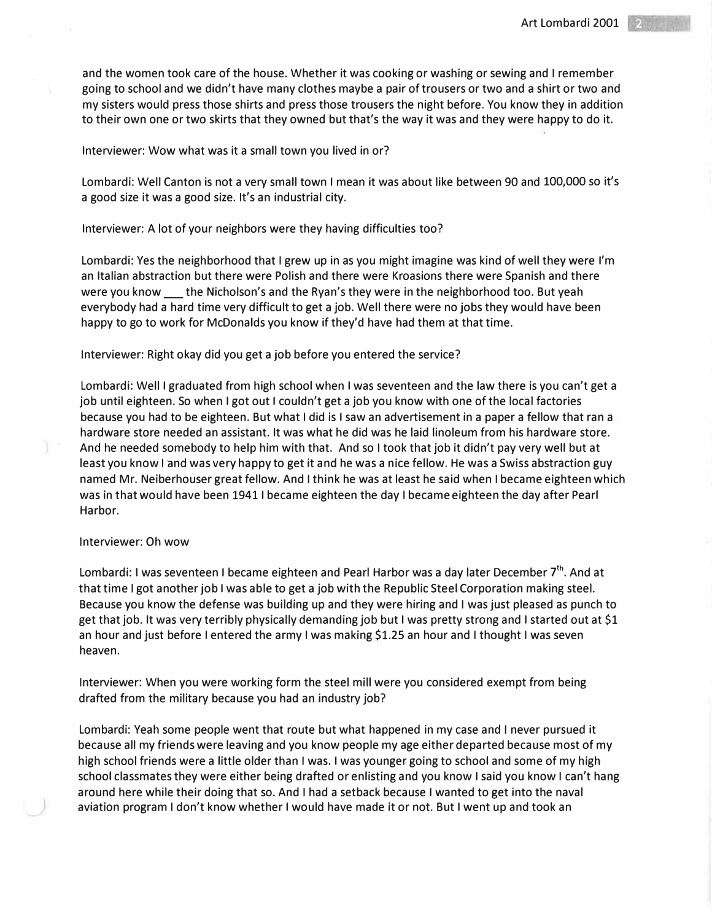and the women took care of the house. Whether it was cooking or washing or sewing and I remember going to school and we didn't have many clothes maybe a pair of trousers or two and a shirt or two and my sisters would press those shirts and press those trousers the night before. You know they in addition to their own one or two skirts that they owned but that's the way it was and they were happy to do it.

### Interviewer: Wow what was it a small town you lived in or?

Lombardi: Well Canton is not a very small town I mean it was about like between 90 and 100,000 so it's a good size it was a good size. It's an industrial city.

Interviewer: A lot of your neighbors were they having difficulties too?

Lombardi: Yes the neighborhood that I grew up in as you might imagine was kind of well they were I'm an Italian abstraction but there were Polish and there were Kroasions there were Spanish and there were you know the Nicholson's and the Ryan's they were in the neighborhood too. But yeah everybody had a hard time very difficult to get a job. Well there were no jobs they would have been happy to go to work for McDonalds you know if they'd have had them at that time.

### Interviewer: Right okay did you get a job before you entered the service?

Lombardi: Well I graduated from high school when I was seventeen and the law there is you can't get a job until eighteen. So when I got out I couldn't get a job you know with one of the local factories because you had to be eighteen. But what I did is I saw an advertisement in a paper a fellow that ran a hardware store needed an assistant. It was what he did was he laid linoleum from his hardware store. And he needed somebody to help him with that. And so I took that job it didn't pay very well but at least you know I and was very happy to get it and he was a nice fellow. He was a Swiss abstraction guy named Mr. Neiberhouser great fellow. And I think he was at least he said when I became eighteen which was in that would have been 1941 I became eighteen the day I became eighteen the day after Pearl Harbor.

### Interviewer: Oh wow

Lombardi: I was seventeen I became eighteen and Pearl Harbor was a day later December  $7^{\text{th}}$ . And at that time I got another job I was able to get a job with the Republic Steel Corporation making steel. Because you know the defense was building up and they were hiring and I was just pleased as punch to get that job. It was very terribly physically demanding job but I was pretty strong and I started out at \$1 an hour and just before I entered the army I was making \$1.25 an hour and I thought I was seven heaven.

Interviewer: When you were working form the steel mill were you considered exempt from being drafted from the military because you had an industry job?

Lombardi: Yeah some people went that route but what happened in my case and I never pursued it because all my friends were leaving and you know people my age either departed because most of my high school friends were a little older than I was. I was younger going to school and some of my high school classmates they were either being drafted or enlisting and you know I said you know I can't hang around here while their doing that so. And I had a setback because I wanted to get into the naval aviation program I don't know whether I would have made it or not. But I went up and took an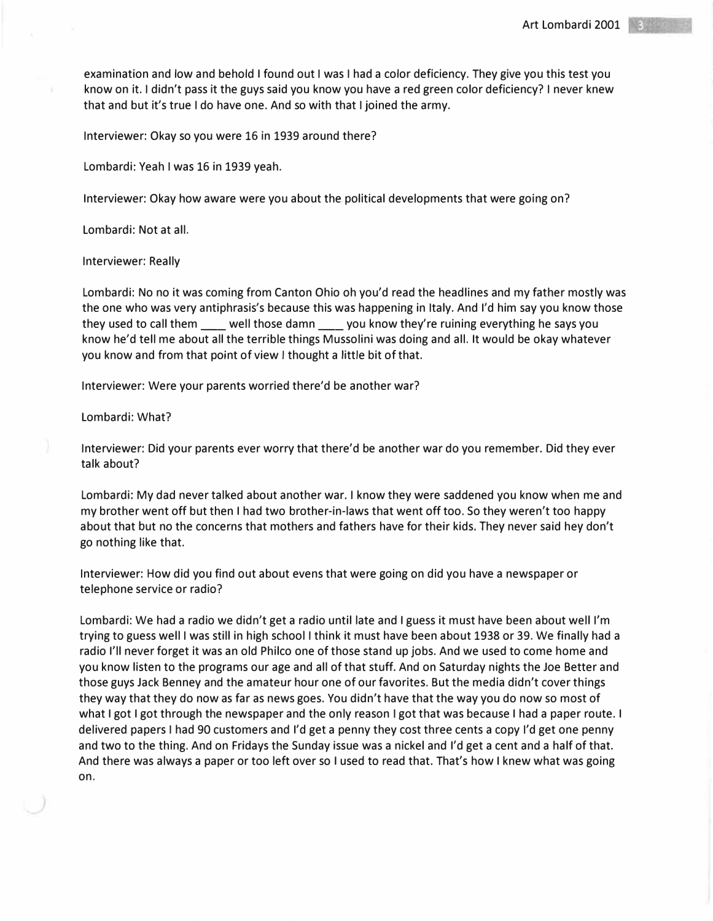examination and low and behold I found out I was I had a color deficiency. They give you this test you know on it. I didn't pass it the guys said you know you have a red green color deficiency? I never knew that and but it's true I do have one. And so with that I joined the army.

Interviewer: Okay so you were 16 in 1939 around there?

Lombardi: Yeah I was 16 in 1939 yeah.

Interviewer: Okay how aware were you about the political developments that were going on?

Lombardi: Not at all.

Interviewer: Really

Lombardi: No no it was coming from Canton Ohio oh you'd read the headlines and my father mostly was the one who was very antiphrasis's because this was happening in Italy. And I'd him say you know those they used to call them well those damn you know they're ruining everything he says you know he'd tell me about all the terrible things Mussolini was doing and all. It would be okay whatever you know and from that point of view I thought a little bit of that.

Interviewer: Were your parents worried there'd be another war?

Lombardi: What?

Interviewer: Did your parents ever worry that there'd be another war do you remember. Did they ever talk about?

Lombardi: My dad never talked about another war. I know they were saddened you know when me and my brother went off but then I had two brother-in-laws that went off too. So they weren't too happy about that but no the concerns that mothers and fathers have for their kids. They never said hey don't go nothing like that.

Interviewer: How did you find out about evens that were going on did you have a newspaper or telephone service or radio?

Lombardi: We had a radio we didn't get a radio until late and I guess it must have been about well I'm trying to guess well I was still in high school I think it must have been about 1938 or 39. We finally had a radio I'll never forget it was an old Philco one of those stand up jobs. And we used to come home and you know listen to the programs our age and all of that stuff. And on Saturday nights the Joe Better and those guys Jack Benney and the amateur hour one of our favorites. But the media didn't cover things they way that they do now as far as news goes. You didn't have that the way you do now so most of what I got I got through the newspaper and the only reason I got that was because I had a paper route. I delivered papers I had 90 customers and I'd get a penny they cost three cents a copy I'd get one penny and two to the thing. And on Fridays the Sunday issue was a nickel and I'd get a cent and a half of that. And there was always a paper or too left over so I used to read that. That's how I knew what was going on.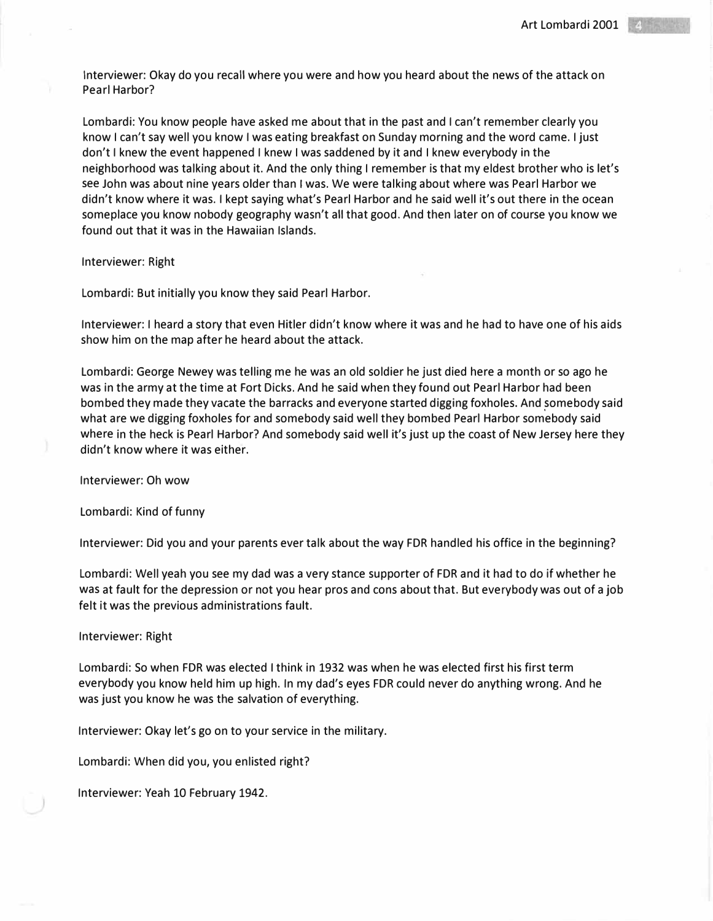Interviewer: Okay do you recall where you were and how you heard about the news of the attack on Pearl Harbor?

Lombardi: You know people have asked me about that in the past and I can't remember clearly you know I can't say well you know I was eating breakfast on Sunday morning and the word came. I just don't I knew the event happened I knew I was saddened by it and I knew everybody in the neighborhood was talking about it. And the only thing I remember is that my eldest brother who is let's see John was about nine years older than I was. We were talking about where was Pearl Harbor we didn't know where it was. I kept saying what's Pearl Harbor and he said well it's out there in the ocean someplace you know nobody geography wasn't all that good. And then later on of course you know we found out that it was in the Hawaiian Islands.

Interviewer: Right

Lombardi: But initially you know they said Pearl Harbor.

Interviewer: I heard a story that even Hitler didn't know where it was and he had to have one of his aids show him on the map after he heard about the attack.

Lombardi: George Newey was telling me he was an old soldier he just died here a month or so ago he was in the army at the time at Fort Dicks. And he said when they found out Pearl Harbor had been bombed they made they vacate the barracks and everyone started digging foxholes. And somebody said what are we digging foxholes for and somebody said well they bombed Pearl Harbor somebody said where in the heck is Pearl Harbor? And somebody said well it's just up the coast of New Jersey here they didn't know where it was either.

Interviewer: Oh wow

Lombardi: Kind of funny

Interviewer: Did you and your parents ever talk about the way FDR handled his office in the beginning?

Lombardi: Well yeah you see my dad was a very stance supporter of FDR and it had to do if whether he was at fault for the depression or not you hear pros and cons about that. But everybody was out of a job felt it was the previous administrations fault.

### Interviewer: Right

Lombardi: So when FDR was elected I think in 1932 was when he was elected first his first term everybody you know held him up high. In my dad's eyes FDR could never do anything wrong. And he was just you know he was the salvation of everything.

Interviewer: Okay let's go on to your service in the military.

Lombardi: When did you, you enlisted right?

Interviewer: Yeah 10 February 1942.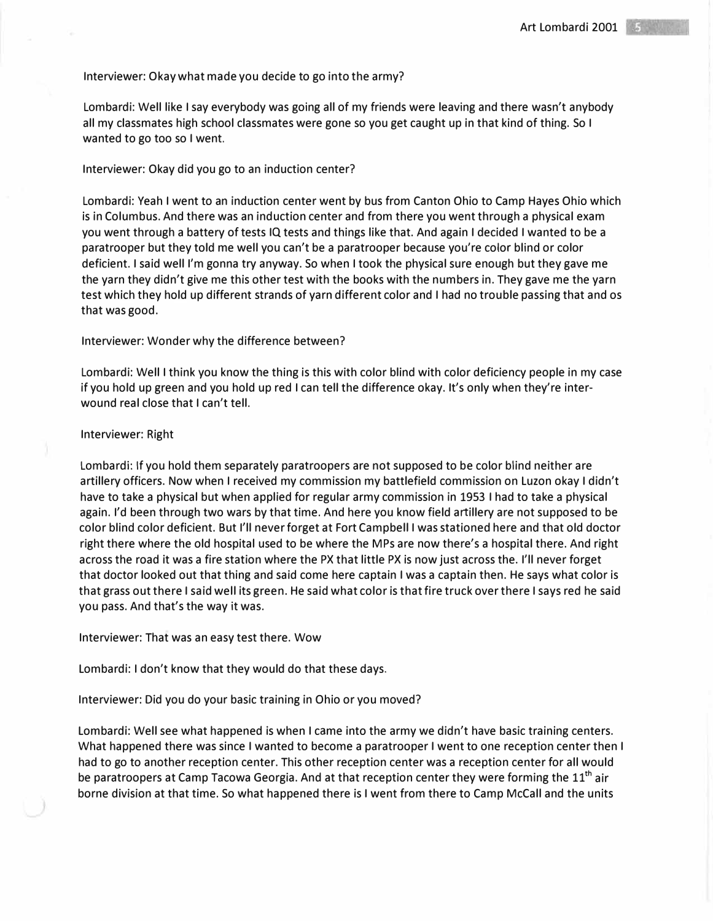# Interviewer: Okay what made you decide to go into the army?

Lombardi: Well like I say everybody was going all of my friends were leaving and there wasn't anybody all my classmates high school classmates were gone so you get caught up in that kind of thing. So I wanted to go too so I went.

# Interviewer: Okay did you go to an induction center?

Lombardi: Yeah I went to an induction center went by bus from Canton Ohio to Camp Hayes Ohio which is in Columbus. And there was an induction center and from there you went through a physical exam you went through a battery of tests IQ tests and things like that. And again I decided I wanted to be a paratrooper but they told me well you can't be a paratrooper because you're color blind or color deficient. I said well I'm gonna try anyway. So when I took the physical sure enough but they gave me the yarn they didn't give me this other test with the books with the numbers in. They gave me the yarn test which they hold up different strands of yarn different color and I had no trouble passing that and os that was good.

# Interviewer: Wonder why the difference between?

Lombardi: Well I think you know the thing is this with color blind with color deficiency people in my case if you hold up green and you hold up red I can tell the difference okay. It's only when they're interwound real close that I can't tell.

# Interviewer: Right

Lombardi: If you hold them separately paratroopers are not supposed to be color blind neither are artillery officers. Now when I received my commission my battlefield commission on Luzon okay I didn't have to take a physical but when applied for regular army commission in 1953 I had to take a physical again. I'd been through two wars by that time. And here you know field artillery are not supposed to be color blind color deficient. But I'll never forget at Fort Campbell I was stationed here and that old doctor right there where the old hospital used to be where the MPs are now there's a hospital there. And right across the road it was a fire station where the PX that little PX is now just across the. I'll never forget that doctor looked out that thing and said come here captain I was a captain then. He says what color is that grass out there I said well its green. He said what color is that fire truck over there I says red he said you pass. And that's the way it was.

Interviewer: That was an easy test there. Wow

Lombardi: I don't know that they would do that these days.

Interviewer: Did you do your basic training in Ohio or you moved?

Lombardi: Well see what happened is when I came into the army we didn't have basic training centers. What happened there was since I wanted to become a paratrooper I went to one reception center then I had to go to another reception center. This other reception center was a reception center for all would be paratroopers at Camp Tacowa Georgia. And at that reception center they were forming the  $11<sup>th</sup>$  air borne division at that time. So what happened there is I went from there to Camp McCall and the units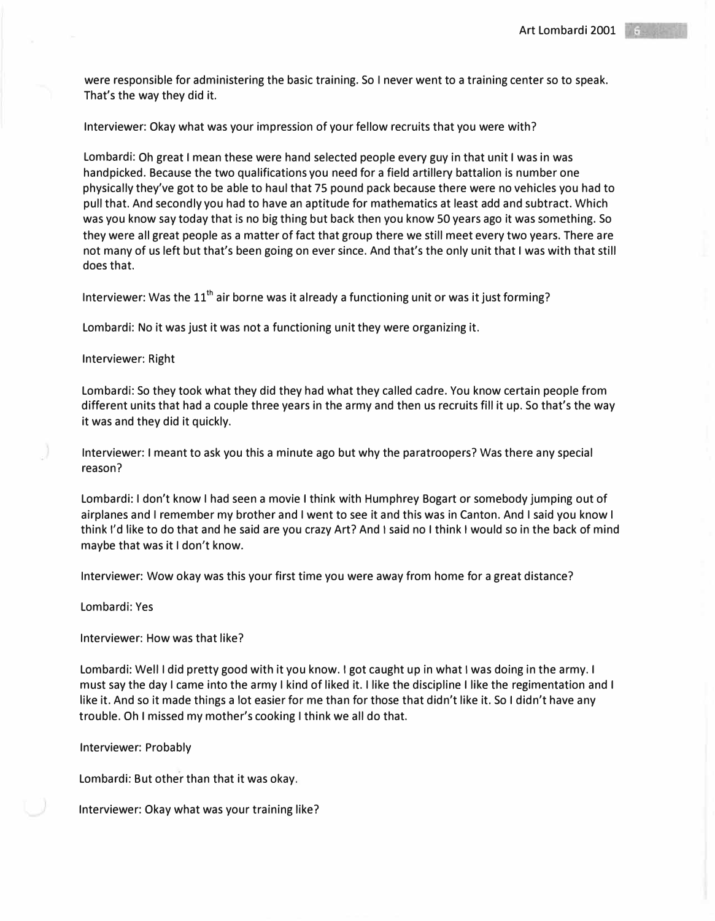were responsible for administering the basic training. So I never went to a training center so to speak. That's the way they did it.

Interviewer: Okay what was your impression of your fellow recruits that you were with?

Lombardi: Oh great I mean these were hand selected people every guy in that unit I was in was handpicked. Because the two qualifications you need for a field artillery battalion is number one physically they've got to be able to haul that 75 pound pack because there were no vehicles you had to pull that. And secondly you had to have an aptitude for mathematics at least add and subtract. Which was you know say today that is no big thing but back then you know 50 years ago it was something. So they were all great people as a matter of fact that group there we still meet every two years. There are not many of us left but that's been going on ever since. And that's the only unit that I was with that still does that.

Interviewer: Was the  $11<sup>th</sup>$  air borne was it already a functioning unit or was it just forming?

Lombardi: No it was just it was not a functioning unit they were organizing it.

Interviewer: Right

Lombardi: So they took what they did they had what they called cadre. You know certain people from different units that had a couple three years in the army and then us recruits fill it up. So that's the way it was and they did it quickly.

Interviewer: I meant to ask you this a minute ago but why the paratroopers? Was there any special reason?

Lombardi: I don't know I had seen a movie I think with Humphrey Bogart or somebody jumping out of airplanes and I remember my brother and I went to see it and this was in Canton. And I said you know I think I'd like to do that and he said are you crazy Art? And I said no I think I would so in the back of mind maybe that was it I don't know.

Interviewer: Wow okay was this your first time you were away from home for a great distance?

Lombardi: Yes

Interviewer: How was that like?

Lombardi: Well I did pretty good with it you know. I got caught up in what I was doing in the army. I must say the day I came into the army I kind of liked it. I like the discipline I like the regimentation and I like it. And so it made things a lot easier for me than for those that didn't like it. So I didn't have any trouble. Oh I missed my mother's cooking I think we all do that.

Interviewer: Probably

Lombardi: But other than that it was okay.

Interviewer: Okay what was your training like?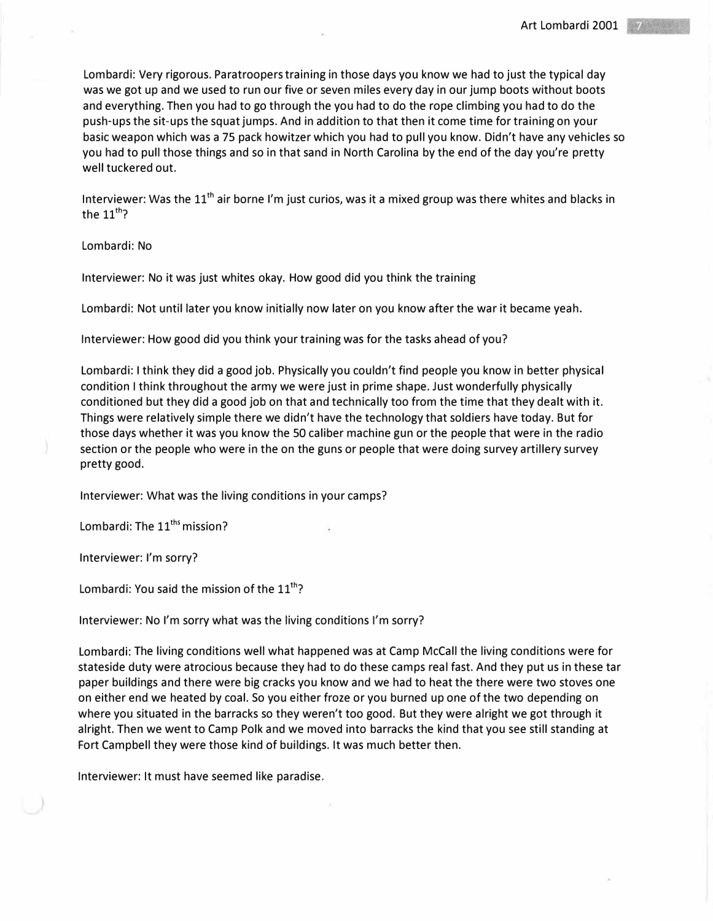Lombardi: Very rigorous. Paratroopers training in those days you know we had to just the typical day was we got up and we used to run our five or seven miles every day in our jump boots without boots and everything. Then you had to go through the you had to do the rope climbing you had to do the push-ups the sit-ups the squat jumps. And in addition to that then it come time for training on your basic weapon which was a 75 pack howitzer which you had to pull you know. Didn't have any vehicles so you had to pull those things and so in that sand in North Carolina by the end of the day you're pretty well tuckered out.

Interviewer: Was the  $11<sup>th</sup>$  air borne I'm just curios, was it a mixed group was there whites and blacks in the  $11^{th}$ ?

Lombardi: No

Interviewer: No it was just whites okay. How good did you think the training

Lombardi: Not until later you know initially now later on you know after the war it became yeah.

Interviewer: How good did you think your training was for the tasks ahead of you?

Lombardi: I think they did a good job. Physically you couldn't find people you know in better physical condition I think throughout the army we were just in prime shape. Just wonderfully physically conditioned but they did a good job on that and technically too from the time that they dealt with it. Things were relatively simple there we didn't have the technology that soldiers have today. But for those days whether it was you know the 50 caliber machine gun or the people that were in the radio section or the people who were in the on the guns or people that were doing survey artillery survey pretty good.

Interviewer: What was the living conditions in your camps?

Lombardi: The  $11<sup>ths</sup>$  mission?

Interviewer: I'm sorry?

Lombardi: You said the mission of the  $11^{th}$ ?

Interviewer: No I'm sorry what was the living conditions I'm sorry?

Lombardi: The living conditions well what happened was at Camp McCall the living conditions were for stateside duty were atrocious because they had to do these camps real fast. And they put us in these tar paper buildings and there were big cracks you know and we had to heat the there were two stoves one on either end we heated by coal. So you either froze or you burned up one of the two depending on where you situated in the barracks so they weren't too good. But they were alright we got through it alright. Then we went to Camp Polk and we moved into barracks the kind that you see still standing at Fort Campbell they were those kind of buildings. It was much better then.

Interviewer: It must have seemed like paradise.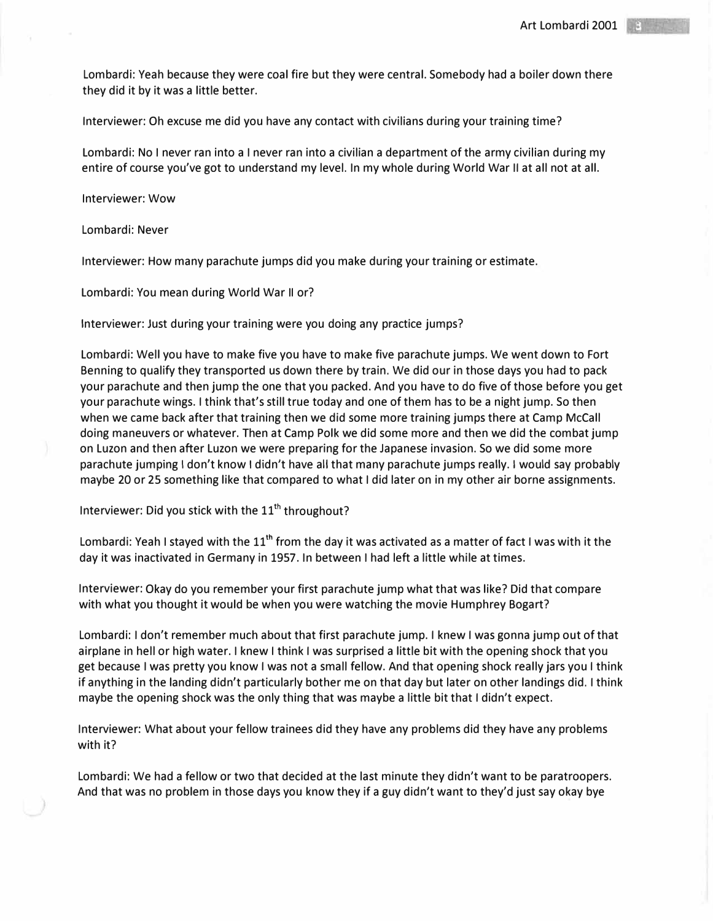Lombardi: Yeah because they were coal fire but they were central. Somebody had a boiler down there they did it by it was a little better.

Interviewer: Oh excuse me did you have any contact with civilians during your training time?

Lombardi: No I never ran into a I never ran into a civilian a department of the army civilian during my entire of course you've got to understand my level. In my whole during World War II at all not at all.

Interviewer: Wow

Lombardi: Never

Interviewer: How many parachute jumps did you make during your training or estimate.

Lombardi: You mean during World War II or?

Interviewer: Just during your training were you doing any practice jumps?

Lombardi: Well you have to make five you have to make five parachute jumps. We went down to Fort Benning to qualify they transported us down there by train. We did our in those days you had to pack your parachute and then jump the one that you packed. And you have to do five of those before you get your parachute wings. I think that's still true today and one of them has to be a night jump. So then when we came back after that training then we did some more training jumps there at Camp McCall doing maneuvers or whatever. Then at Camp Polk we did some more and then we did the combat jump on Luzon and then after Luzon we were preparing for the Japanese invasion. So we did some more parachute jumping I don't know I didn't have all that many parachute jumps really. I would say probably maybe 20 or 25 something like that compared to what I did later on in my other air borne assignments.

Interviewer: Did you stick with the  $11<sup>th</sup>$  throughout?

Lombardi: Yeah I stayed with the  $11<sup>th</sup>$  from the day it was activated as a matter of fact I was with it the day it was inactivated in Germany in 1957. In between I had left a little while at times.

Interviewer: Okay do you remember your first parachute jump what that was like? Did that compare with what you thought it would be when you were watching the movie Humphrey Bogart?

Lombardi: I don't remember much about that first parachute jump. I knew I was gonna jump out of that airplane in hell or high water. I knew I think I was surprised a little bit with the opening shock that you get because I was pretty you know I was not a small fellow. And that opening shock really jars you I think if anything in the landing didn't particularly bother me on that day but later on other landings did. I think maybe the opening shock was the only thing that was maybe a little bit that I didn't expect.

Interviewer: What about your fellow trainees did they have any problems did they have any problems with it?

Lombardi: We had a fellow or two that decided at the last minute they didn't want to be paratroopers. And that was no problem in those days you know they if a guy didn't want to they'd just say okay bye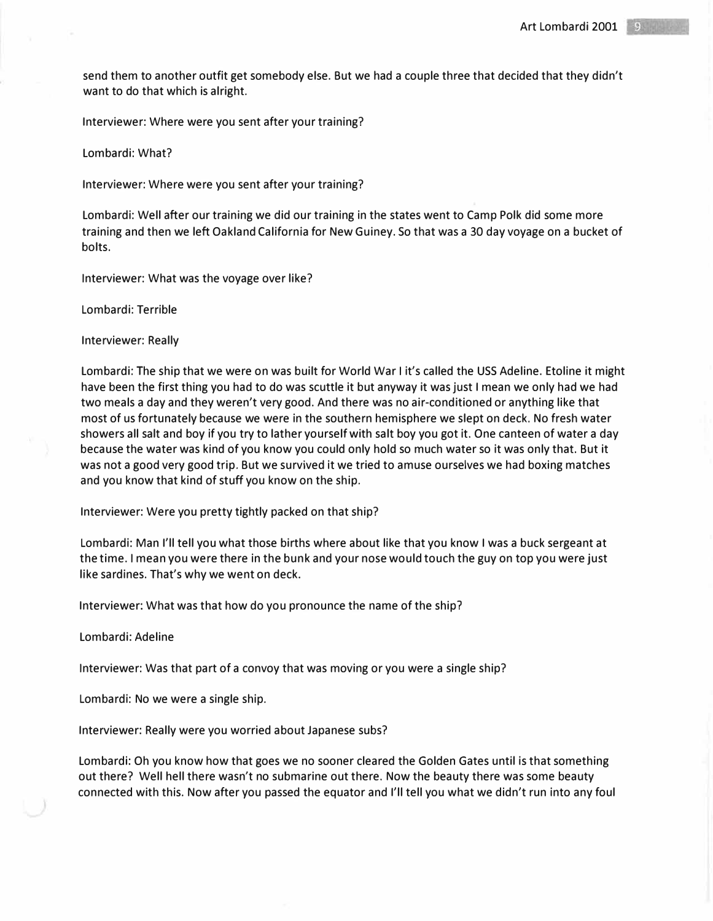send them to another outfit get somebody else. But we had a couple three that decided that they didn't want to do that which is alright.

Interviewer: Where were you sent after your training?

Lombardi: What?

Interviewer: Where were you sent after your training?

Lombardi: Well after our training we did our training in the states went to Camp Polk did some more training and then we left Oakland California for New Guiney. So that was a 30 day voyage on a bucket of bolts.

Interviewer: What was the voyage over like?

Lombardi: Terrible

Interviewer: Really

Lombardi: The ship that we were on was built for World War I it's called the USS Adeline. Etoline it might have been the first thing you had to do was scuttle it but anyway it was just I mean we only had we had two meals a day and they weren't very good. And there was no air-conditioned or anything like that most of us fortunately because we were in the southern hemisphere we slept on deck. No fresh water showers all salt and boy if you try to lather yourself with salt boy you got it. One canteen of water a day because the water was kind of you know you could only hold so much water so it was only that. But it was not a good very good trip. But we survived it we tried to amuse ourselves we had boxing matches and you know that kind of stuff you know on the ship.

Interviewer: Were you pretty tightly packed on that ship?

Lombardi: Man I'll tell you what those births where about like that you know I was a buck sergeant at the time. I mean you were there in the bunk and your nose would touch the guy on top you were just like sardines. That's why we went on deck.

Interviewer: What was that how do you pronounce the name of the ship7

Lombardi: Adeline

Interviewer: Was that part of a convoy that was moving or you were a single ship?

Lombardi: No we were a single ship.

Interviewer: Really were you worried about Japanese subs?

Lombardi: Oh you know how that goes we no sooner cleared the Golden Gates until is that something out there? Well hell there wasn't no submarine out there. Now the beauty there was some beauty connected with this. Now after you passed the equator and I'll tell you what we didn't run into any foul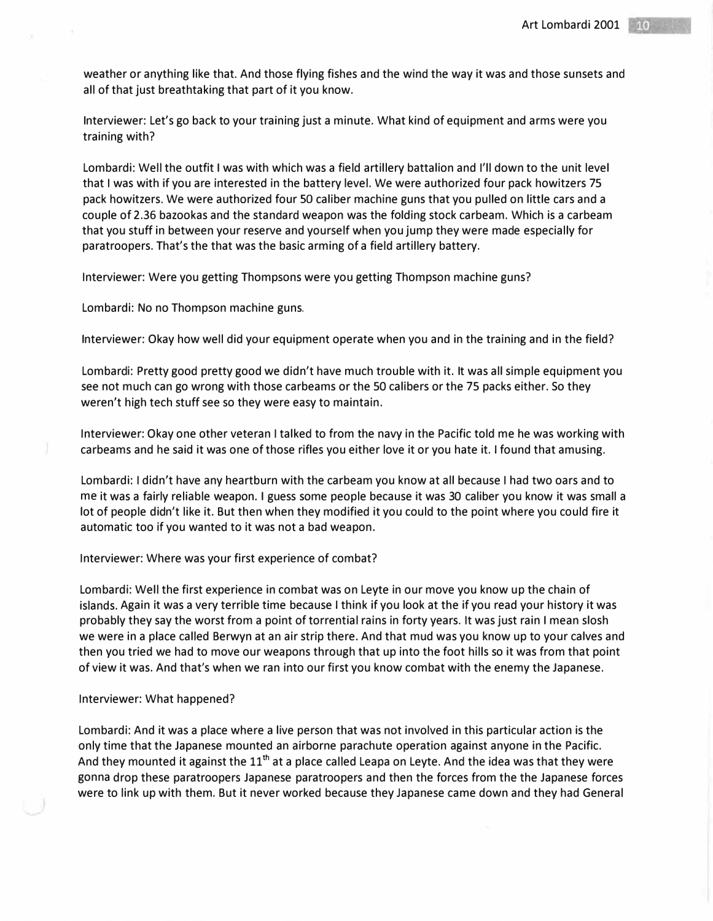weather or anything like that. And those flying fishes and the wind the way it was and those sunsets and all of that just breathtaking that part of it you know.

Interviewer: Let's go back to your training just a minute. What kind of equipment and arms were you training with?

Lombardi: Well the outfit I was with which was a field artillery battalion and I'll down to the unit level that I was with if you are interested in the battery level. We were authorized four pack howitzers 75 pack howitzers. We were authorized four SO caliber machine guns that you pulled on little cars and a couple of 2.36 bazookas and the standard weapon was the folding stock carbeam. Which is a carbeam that you stuff in between your reserve and yourself when you jump they were made especially for paratroopers. That's the that was the basic arming of a field artillery battery.

Interviewer: Were you getting Thompsons were you getting Thompson machine guns?

Lombardi: No no Thompson machine guns.

Interviewer: Okay how well did your equipment operate when you and in the training and in the field?

Lombardi: Pretty good pretty good we didn't have much trouble with it. It was all simple equipment you see not much can go wrong with those carbeams or the 50 calibers or the 75 packs either. So they weren't high tech stuff see so they were easy to maintain.

Interviewer: Okay one other veteran I talked to from the navy in the Pacific told me he was working with carbeams and he said it was one of those rifles you either love it or you hate it. I found that amusing.

Lombardi: I didn't have any heartburn with the carbeam you know at all because I had two oars and to me it was a fairly reliable weapon. I guess some people because it was 30 caliber you know it was small a lot of people didn't like it. But then when they modified it you could to the point where you could fire it automatic too if you wanted to it was not a bad weapon.

Interviewer: Where was your first experience of combat?

Lombardi: Well the first experience in combat was on Leyte in our move you know up the chain of islands. Again it was a very terrible time because I think if you look at the if you read your history it was probably they say the worst from a point of torrential rains in forty years. It was just rain I mean slosh we were in a place called Berwyn at an air strip there. And that mud was you know up to your calves and then you tried we had to move our weapons through that up into the foot hills so it was from that point of view it was. And that's when we ran into our first you know combat with the enemy the Japanese.

#### Interviewer: What happened?

Lombardi: And it was a place where a live person that was not involved in this particular action is the only time that the Japanese mounted an airborne parachute operation against anyone in the Pacific. And they mounted it against the  $11<sup>th</sup>$  at a place called Leapa on Leyte. And the idea was that they were gonna drop these paratroopers Japanese paratroopers and then the forces from the the Japanese forces were to link up with them. But it never worked because they Japanese came down and they had General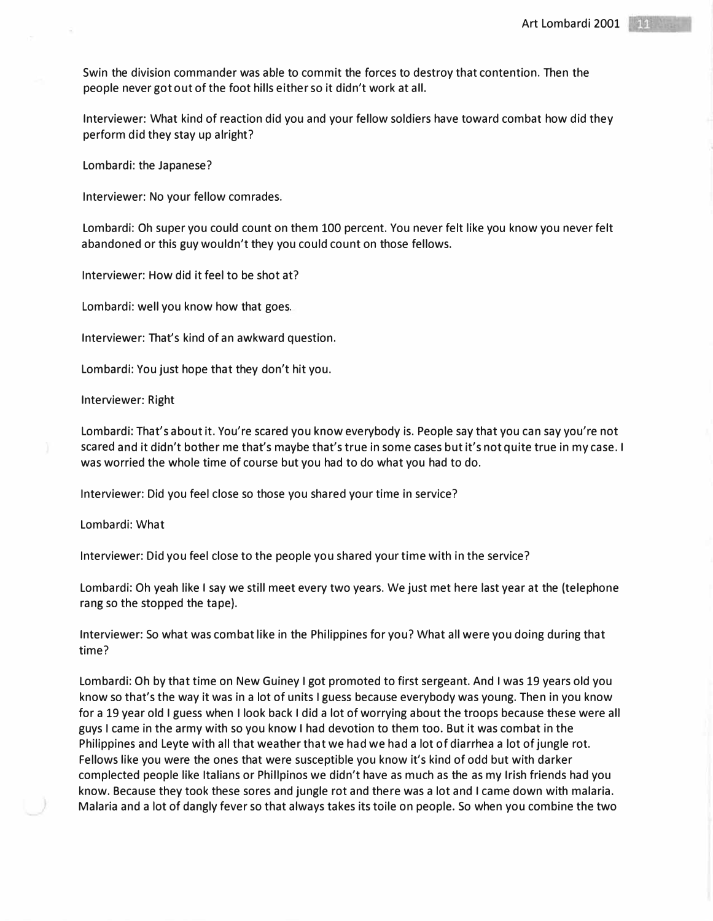Swin the division commander was able to commit the forces to destroy that contention. Then the people never got out of the foot hills either so it didn't work at all.

Interviewer: What kind of reaction did you and your fellow soldiers have toward combat how did they perform did they stay up alright?

Lombardi: the Japanese?

Interviewer: No your fellow comrades.

Lombardi: Oh super you could count on them 100 percent. You never felt like you know you never felt abandoned or this guy wouldn't they you could count on those fellows.

Interviewer: How did it feel to be shot at?

Lombardi: well you know how that goes.

Interviewer: That's kind of an awkward question.

Lombardi: You just hope that they don't hit you.

Interviewer: Right

Lombardi: That's about it. You're scared you know everybody is. People say that you can say you're not scared and it didn't bother me that's maybe that's true in some cases but it's not quite true in my case. I was worried the whole time of course but you had to do what you had to do.

Interviewer: Did you feel close so those you shared your time in service?

Lombardi: What

Interviewer: Did you feel close to the people you shared your time with in the service?

Lombardi: Oh yeah like I say we still meet every two years. We just met here last year at the (telephone rang so the stopped the tape).

Interviewer: So what was combat like in the Philippines for you? What all were you doing during that time?

Lombardi: Oh by that time on New Guiney I got promoted to first sergeant. And I was 19 years old you know so that's the way it was in a lot of units I guess because everybody was young. Then in you know for a 19 year old I guess when I look back I did a lot of worrying about the troops because these were all guys I came in the army with so you know I had devotion to them too. But it was combat in the Philippines and Leyte with all that weather that we had we had a lot of diarrhea a lot of jungle rot. Fellows like you were the ones that were susceptible you know it's kind of odd but with darker complected people like Italians or Phillpinos we didn't have as much as the as my Irish friends had you know. Because they took these sores and jungle rot and there was a lot and I came down with malaria. Malaria and a lot of dangly fever so that always takes its toile on people. So when you combine the two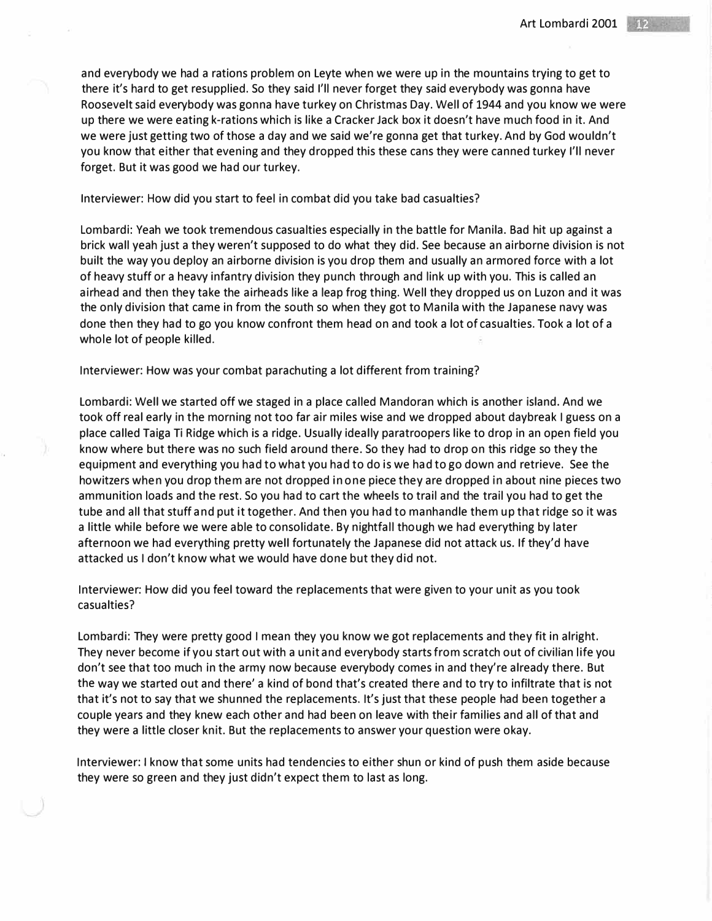and everybody we had a rations problem on Leyte when we were up in the mountains trying to get to there it's hard to get resupplied. So they said I'll never forget they said everybody was gonna have Roosevelt said everybody was gonna have turkey on Christmas Day. Well of 1944 and you know we were up there we were eating k-rations which is like a Cracker Jack box it doesn't have much food in it. And we were just getting two of those a day and we said we're gonna get that turkey. And by God wouldn't you know that either that evening and they dropped this these cans they were canned turkey I'll never forget. But it was good we had our turkey.

### Interviewer: How did you start to feel in combat did you take bad casualties?

Lombardi: Yeah we took tremendous casualties especially in the battle for Manila. Bad hit up against a brick wall yeah just a they weren't supposed to do what they did. See because an airborne division is not built the way you deploy an airborne division is you drop them and usually an armored force with a lot of heavy stuff or a heavy infantry division they punch through and link up with you. This is called an airhead and then they take the airheads like a leap frog thing. Well they dropped us on Luzon and it was the only division that came in from the south so when they got to Manila with the Japanese navy was done then they had to go you know confront them head on and took a lot of casualties. Took a lot of a whole lot of people killed.

#### Interviewer: How was your combat parachuting a lot different from training?

Lombardi: Well we started off we staged in a place called Mandoran which is another island. And we took off real early in the morning not too far air miles wise and we dropped about daybreak I guess on a place called Taiga Ti Ridge which is a ridge. Usually ideally paratroopers like to drop in an open field you know where but there was no such field around there. So they had to drop on this ridge so they the equipment and everything you had to what you had to do is we had to go down and retrieve. See the howitzers when you drop them are not dropped in one piece they are dropped in about nine pieces two ammunition loads and the rest. So you had to cart the wheels to trail and the trail you had to get the tube and all that stuff and put it together. And then you had to manhandle them up that ridge so it was a little while before we were able to consolidate. By nightfall though we had everything by later afternoon we had everything pretty well fortunately the Japanese did not attack us. If they'd have attacked us I don't know what we would have done but they did not.

Interviewer: How did you feel toward the replacements that were given to your unit as you took casualties?

Lombardi: They were pretty good I mean they you know we got replacements and they fit in alright. They never become if you start out with a unit and everybody starts from scratch out of civilian life you don't see that too much in the army now because everybody comes in and they're already there. But the way we started out and there' a kind of bond that's created there and to try to infiltrate that is not that it's not to say that we shunned the replacements. It's just that these people had been together a couple years and they knew each other and had been on leave with their families and all of that and they were a little closer knit. But the replacements to answer your question were okay.

Interviewer: I know that some units had tendencies to either shun or kind of push them aside because they were so green and they just didn't expect them to last as long.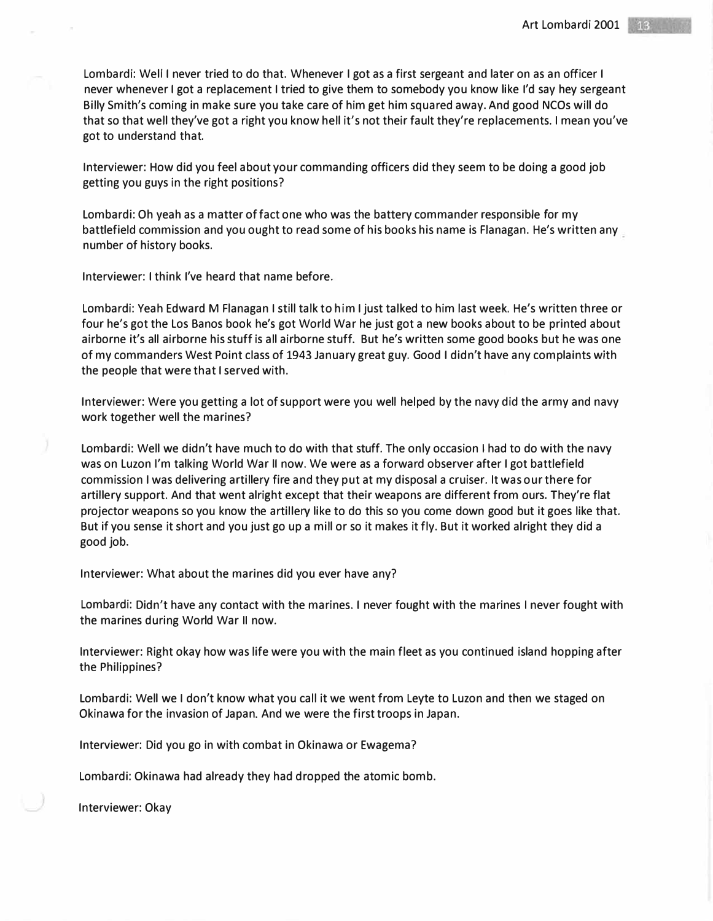Lombardi: Well I never tried to do that. Whenever I got as a first sergeant and later on as an officer I never whenever I got a replacement I tried to give them to somebody you know like I'd say hey sergeant Billy Smith's coming in make sure you take care of him get him squared away. And good NCOs will do that so that well they've got a right you know hell it's not their fault they're replacements. I mean you've got to understand that.

Interviewer: How did you feel about your commanding officers did they seem to be doing a good job getting you guys in the right positions?

Lombardi: Oh yeah as a matter of fact one who was the battery commander responsible for my battlefield commission and you ought to read some of his books his name is Flanagan. He's written any number of history books.

Interviewer: I think I've heard that name before.

Lombardi: Yeah Edward M Flanagan I still talk to him I just talked to him last week. He's written three or four he's got the Los Banos book he's got World War he just got a new books about to be printed about airborne it's all airborne his stuff is all airborne stuff. But he's written some good books but he was one of my commanders West Point class of 1943 January great guy. Good I didn't have any complaints with the people that were that I served with.

Interviewer: Were you getting a lot of support were you well helped by the navy did the army and navy work together well the marines?

Lombardi: Well we didn't have much to do with that stuff. The only occasion I had to do with the navy was on Luzon I'm talking World War II now. We were as a forward observer after I got battlefield commission I was delivering artillery fire and they put at my disposal a cruiser. It was our there for artillery support. And that went alright except that their weapons are different from ours. They're flat projector weapons so you know the artillery like to do this so you come down good but it goes like that. But if you sense it short and you just go up a mill or so it makes it fly. But it worked alright they did a good job.

Interviewer: What about the marines did you ever have any?

Lombardi: Didn't have any contact with the marines. I never fought with the marines I never fought with the marines during World War II now.

Interviewer: Right okay how was life were you with the main fleet as you continued island hopping after the Philippines?

Lombardi: Well we I don't know what you call it we went from Leyte to Luzon and then we staged on Okinawa for the invasion of Japan. And we were the first troops in Japan.

Interviewer: Did you go in with combat in Okinawa or Ewagema?

Lombardi: Okinawa had already they had dropped the atomic bomb.

Interviewer: Okay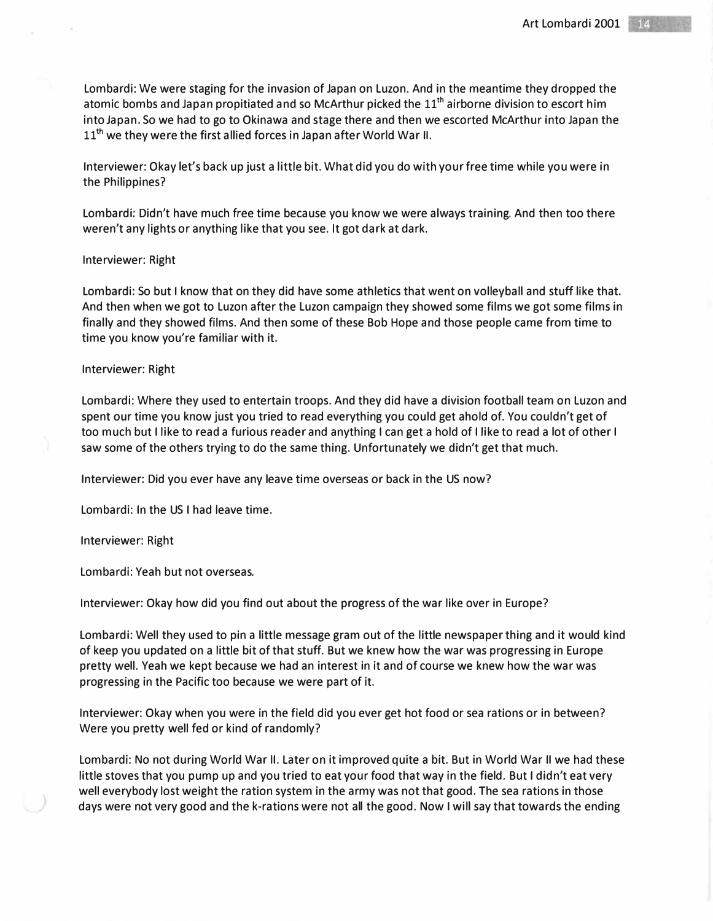Lombardi: We were staging for the invasion of Japan on Luzon. And in the meantime they dropped the atomic bombs and Japan propitiated and so McArthur picked the  $11<sup>th</sup>$  airborne division to escort him into Japan. So we had to go to Okinawa and stage there and then we escorted McArthur into Japan the 11<sup>th</sup> we they were the first allied forces in Japan after World War II.

Interviewer: Okay let's back up just a little bit. What did you do with your free time while you were in the Philippines?

Lombardi: Didn't have much free time because you know we were always training. And then too there weren't any lights or anything like that you see. It got dark at dark.

#### Interviewer: Right

Lombardi: So but I know that on they did have some athletics that went on volleyball and stuff like that. And then when we got to Luzon after the Luzon campaign they showed some films we got some films in finally and they showed films. And then some of these Bob Hope and those people came from time to time you know you're familiar with it.

### Interviewer: Right

Lombardi: Where they used to entertain troops. And they did have a division football team on Luzon and spent our time you know just you tried to read everything you could get a hold of. You couldn't get of too much but I like to read a furious reader and anything I can get a hold of I like to read a lot of other I saw some of the others trying to do the same thing. Unfortunately we didn't get that much.

Interviewer: Did you ever have any leave time overseas or back in the US now?

Lombardi: In the US I had leave time.

Interviewer: Right

Lombardi: Yeah but not overseas.

Interviewer: Okay how did you find out about the progress of the war like over in Europe?

Lombardi: Well they used to pin a little message gram out of the little newspaper thing and it would kind of keep you updated on a little bit of that stuff. But we knew how the war was progressing in Europe pretty well. Yeah we kept because we had an interest in it and of course we knew how the war was progressing in the Pacific too because we were part of it.

Interviewer: Okay when you were in the field did you ever get hot food or sea rations or in between? Were you pretty well fed or kind of randomly?

Lombardi: No not during World War II. Later on it improved quite a bit. But in World War II we had these little stoves that you pump up and you tried to eat your food that way in the field. But I didn't eat very well everybody lost weight the ration system in the army was not that good. The sea rations in those days were not very good and the k-rations were not all the good. Now I will say that towards the ending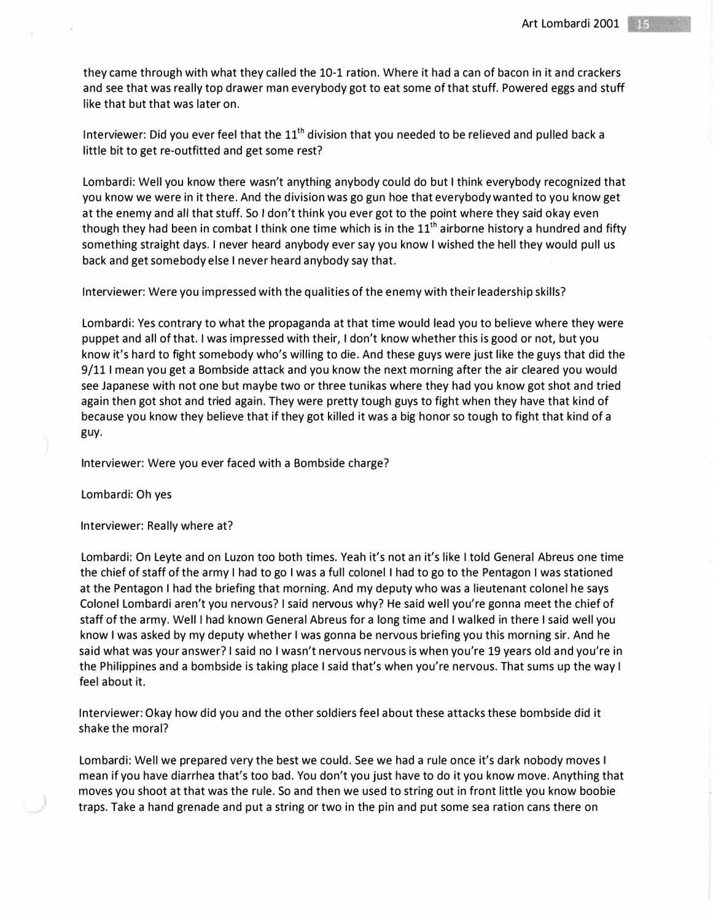they came through with what they called the 10-1 ration. Where it had a can of bacon in it and crackers and see that was really top drawer man everybody got to eat some of that stuff. Powered eggs and stuff like that but that was later on.

Interviewer: Did you ever feel that the  $11<sup>th</sup>$  division that you needed to be relieved and pulled back a little bit to get re-outfitted and get some rest?

Lombardi: Well you know there wasn't anything anybody could do but I think everybody recognized that you know we were in it there. And the division was go gun hoe that everybody wanted to you know get at the enemy and all that stuff. So I don't think you ever got to the point where they said okay even though they had been in combat I think one time which is in the  $11<sup>th</sup>$  airborne history a hundred and fifty something straight days. I never heard anybody ever say you know I wished the hell they would pull us back and get somebody else I never heard anybody say that.

Interviewer: Were you impressed with the qualities of the enemy with their leadership skills?

Lombardi: Yes contrary to what the propaganda at that time would lead you to believe where they were puppet and all of that. I was impressed with their, I don't know whether this is good or not, but you know it's hard to fight somebody who's willing to die. And these guys were just like the guys that did the 9/111 mean you get a Bombside attack and you know the next morning after the air cleared you would see Japanese with not one but maybe two or three tunikas where they had you know got shot and tried again then got shot and tried again. They were pretty tough guys to fight when they have that kind of because you know they believe that if they got killed it was a big honor so tough to fight that kind of a guy.

Interviewer: Were you ever faced with a Bombside charge?

Lombardi: Oh yes

Interviewer: Really where at?

Lombardi: On Leyte and on Luzon too both times. Yeah it's not an it's like I told General Abreus one time the chief of staff of the army I had to go I was a full colonel I had to go to the Pentagon I was stationed at the Pentagon I had the briefing that morning. And my deputy who was a lieutenant colonel he says Colonel Lombardi aren't you nervous? I said nervous why? He said well you're gonna meet the chief of staff of the army. Well I had known General Abreus for a long time and I walked in there I said well you know I was asked by my deputy whether I was gonna be nervous briefing you this morning sir. And he said what was your answer? I said no I wasn't nervous nervous is when you're 19 years old and you're in the Philippines and a bombside is taking place I said that's when you're nervous. That sums up the way I feel about it.

Interviewer: Okay how did you and the other soldiers feel about these attacks these bombside did it shake the moral?

Lombardi: Well we prepared very the best we could. See we had a rule once it's dark nobody moves I mean if you have diarrhea that's too bad. You don't you just have to do it you know move. Anything that moves you shoot at that was the rule. So and then we used to string out in front little you know boobie traps. Take a hand grenade and put a string or two in the pin and put some sea ration cans there on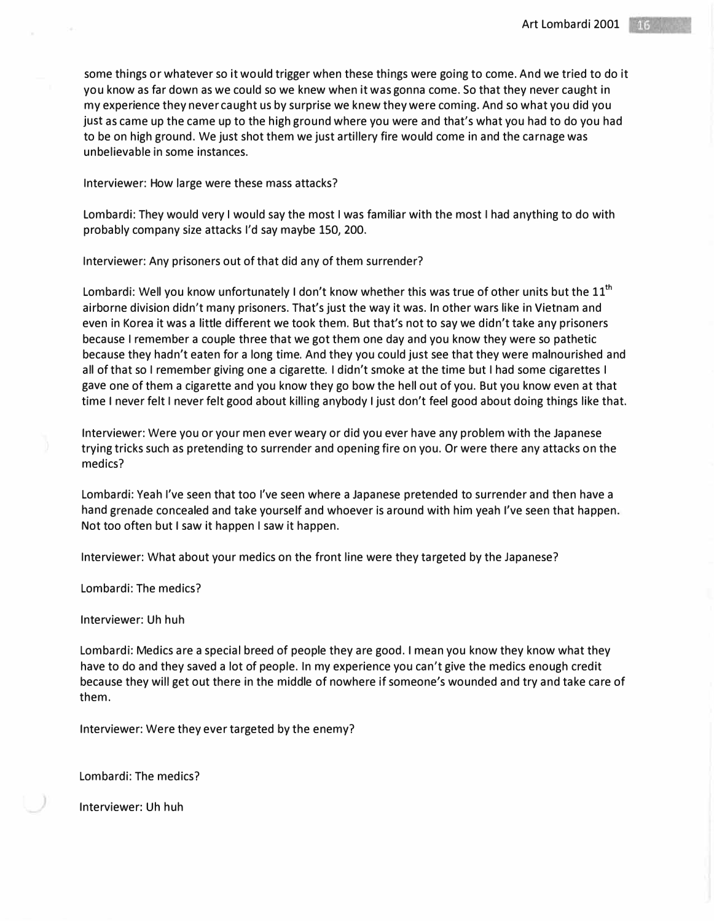some things or whatever so it would trigger when these things were going to come. And we tried to do it you know as far down as we could so we knew when it was gonna come. So that they never caught in my experience they never caught us by surprise we knew they were coming. And so what you did you just as came up the came up to the high ground where you were and that's what you had to do you had to be on high ground. We just shot them we just artillery fire would come in and the carnage was unbelievable in some instances.

Interviewer: How large were these mass attacks?

Lombardi: They would very I would say the most I was familiar with the most I had anything to do with probably company size attacks I'd say maybe 150, 200.

Interviewer: Any prisoners out of that did any of them surrender?

Lombardi: Well you know unfortunately I don't know whether this was true of other units but the  $11<sup>th</sup>$ airborne division didn't many prisoners. That's just the way it was. In other wars like in Vietnam and even in Korea it was a little different we took them. But that's not to say we didn't take any prisoners because I remember a couple three that we got them one day and you know they were so pathetic because they hadn't eaten for a long time. And they you could just see that they were malnourished and all of that so I remember giving one a cigarette. I didn't smoke at the time but I had some cigarettes I gave one of them a cigarette and you know they go bow the hell out of you. But you know even at that time I never felt I never felt good about killing anybody I just don't feel good about doing things like that.

Interviewer: Were you or your men ever weary or did you ever have any problem with the Japanese trying tricks such as pretending to surrender and opening fire on you. Or were there any attacks on the medics?

Lombardi: Yeah I've seen that too I've seen where a Japanese pretended to surrender and then have a hand grenade concealed and take yourself and whoever is around with him yeah I've seen that happen. Not too often but I saw it happen I saw it happen.

Interviewer: What about your medics on the front line were they targeted by the Japanese?

Lombardi: The medics?

Interviewer: Uh huh

Lombardi: Medics are a special breed of people they are good. I mean you know they know what they have to do and they saved a lot of people. In my experience you can't give the medics enough credit because they will get out there in the middle of nowhere if someone's wounded and try and take care of them.

Interviewer: Were they ever targeted by the enemy?

Lombardi: The medics?

Interviewer: Uh huh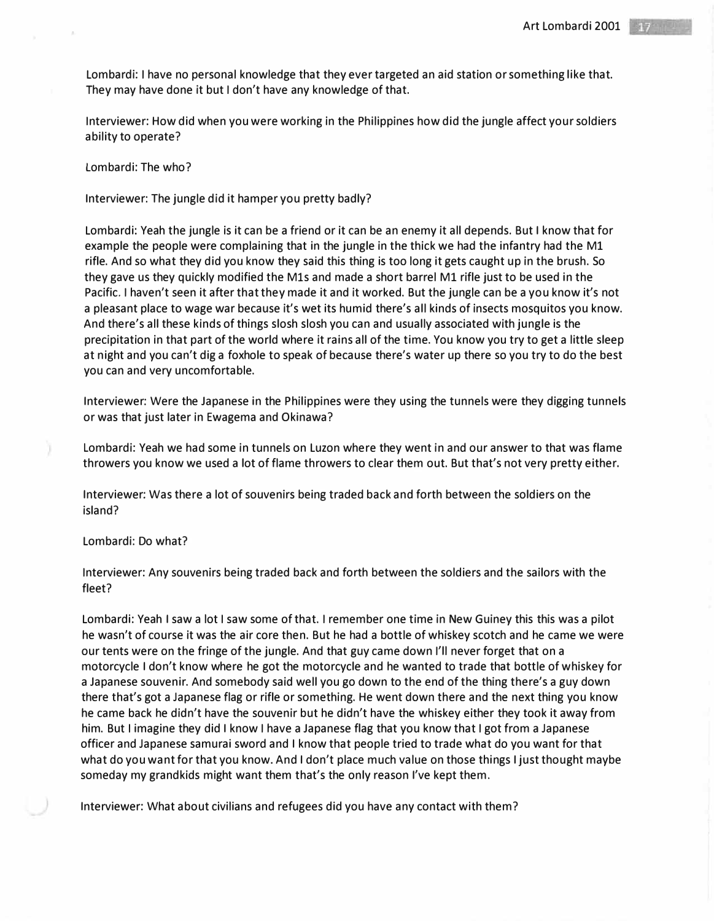Lombardi: I have no personal knowledge that they ever targeted an aid station or something like that. They may have done it but I don't have any knowledge of that.

Interviewer: How did when you were working in the Philippines how did the jungle affect your soldiers ability to operate?

Lombardi: The who?

Interviewer: The jungle did it hamper you pretty badly?

Lombardi: Yeah the jungle is it can be a friend or it can be an enemy it all depends. But I know that for example the people were complaining that in the jungle in the thick we had the infantry had the M1 rifle. And so what they did you know they said this thing is too long it gets caught up in the brush. So they gave us they quickly modified the M1s and made a short barrel M1 rifle just to be used in the Pacific. I haven't seen it after that they made it and it worked. But the jungle can be a you know it's not a pleasant place to wage war because it's wet its humid there's all kinds of insects mosquitos you know. And there's all these kinds of things slosh slosh you can and usually associated with jungle is the precipitation in that part of the world where it rains all of the time. You know you try to get a little sleep at night and you can't dig a foxhole to speak of because there's water up there so you try to do the best you can and very uncomfortable.

Interviewer: Were the Japanese in the Philippines were they using the tunnels were they digging tunnels or was that just later in Ewagema and Okinawa?

Lombardi: Yeah we had some in tunnels on Luzon where they went in and our answer to that was flame throwers you know we used a lot of flame throwers to clear them out. But that's not very pretty either.

Interviewer: Was there a lot of souvenirs being traded back and forth between the soldiers on the island?

# Lombardi: Do what?

Interviewer: Any souvenirs being traded back and forth between the soldiers and the sailors with the fleet?

Lombardi: Yeah I saw a lot I saw some of that. I remember one time in New Guiney this this was a pilot he wasn't of course it was the air core then. But he had a bottle of whiskey scotch and he came we were our tents were on the fringe of the jungle. And that guy came down I'll never forget that on a motorcycle I don't know where he got the motorcycle and he wanted to trade that bottle of whiskey for a Japanese souvenir. And somebody said well you go down to the end of the thing there's a guy down there that's got a Japanese flag or rifle or something. He went down there and the next thing you know he came back he didn't have the souvenir but he didn't have the whiskey either they took it away from him. But I imagine they did I know I have a Japanese flag that you know that I got from a Japanese officer and Japanese samurai sword and I know that people tried to trade what do you want for that what do you want for that you know. And I don't place much value on those things I just thought maybe someday my grandkids might want them that's the only reason I've kept them.

Interviewer: What about civilians and refugees did you have any contact with them?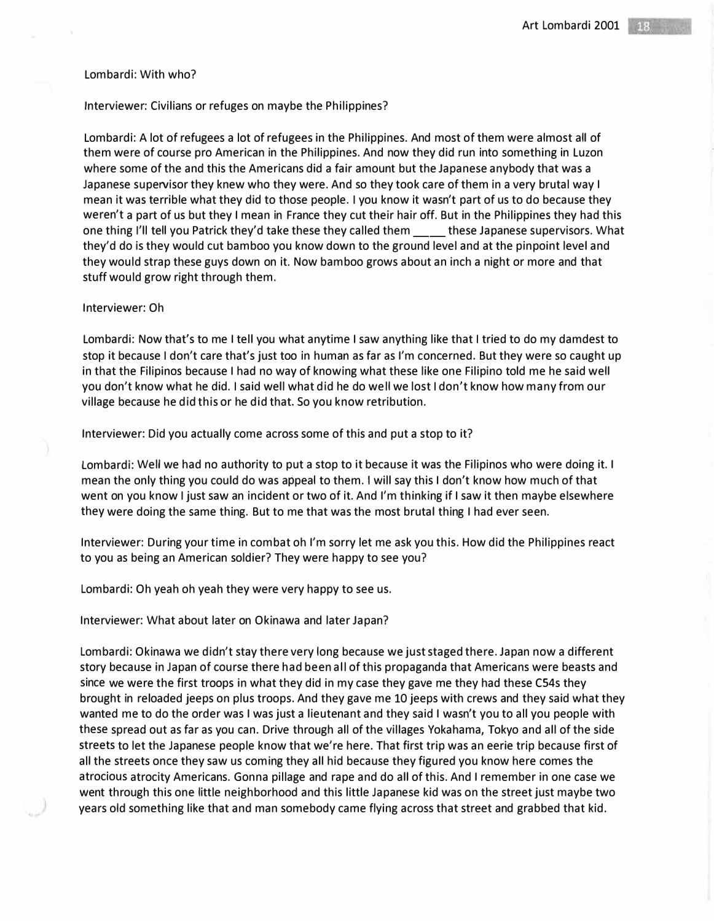### Lombardi: With who?

# Interviewer: Civilians or refuges on maybe the Philippines?

Lombardi: A lot of refugees a lot of refugees in the Philippines. And most of them were almost all of them were of course pro American in the Philippines. And now they did run into something in Luzon where some of the and this the Americans did a fair amount but the Japanese anybody that was a Japanese supervisor they knew who they were. And so they took care of them in a very brutal way I mean it was terrible what they did to those people. I you know it wasn't part of us to do because they weren't a part of us but they I mean in France they cut their hair off. But in the Philippines they had this one thing I'll tell you Patrick they'd take these they called them \_\_\_\_ these Japanese supervisors. What they'd do is they would cut bamboo you know down to the ground level and at the pinpoint level and they would strap these guys down on it. Now bamboo grows about an inch a night or more and that stuff would grow right through them.

### Interviewer: Oh

Lombardi: Now that's to me I tell you what anytime I saw anything like that I tried to do my damdest to stop it because I don't care that's just too in human as far as I'm concerned. But they were so caught up in that the Filipinos because I had no way of knowing what these like one Filipino told me he said well you don't know what he did. I said well what did he do well we lost I don't know how many from our village because he did this or he did that. So you know retribution.

Interviewer: Did you actually come across some of this and put a stop to it?

Lombardi: Well we had no authority to put a stop to it because it was the Filipinos who were doing it. I mean the only thing you could do was appeal to them. I will say this I don't know how much of that went on you know I just saw an incident or two of it. And I'm thinking if I saw it then maybe elsewhere they were doing the same thing. But to me that was the most brutal thing I had ever seen.

Interviewer: During your time in combat oh I'm sorry let me ask you this. How did the Philippines react to you as being an American soldier? They were happy to see you?

Lombardi: Oh yeah oh yeah they were very happy to see us.

Interviewer: What about later on Okinawa and later Japan?

Lombardi: Okinawa we didn't stay there very long because we just staged there. Japan now a different story because in Japan of course there had been all of this propaganda that Americans were beasts and since we were the first troops in what they did in my case they gave me they had these C54s they brought in reloaded jeeps on plus troops. And they gave me 10 jeeps with crews and they said what they wanted me to do the order was I was just a lieutenant and they said I wasn't you to all you people with these spread out as far as you can. Drive through all of the villages Yokahama, Tokyo and all of the side streets to let the Japanese people know that we're here. That first trip was an eerie trip because first of all the streets once they saw us coming they all hid because they figured you know here comes the atrocious atrocity Americans. Gonna pillage and rape and do all of this. And I remember in one case we went through this one little neighborhood and this little Japanese kid was on the street just maybe two years old something like that and man somebody came flying across that street and grabbed that kid.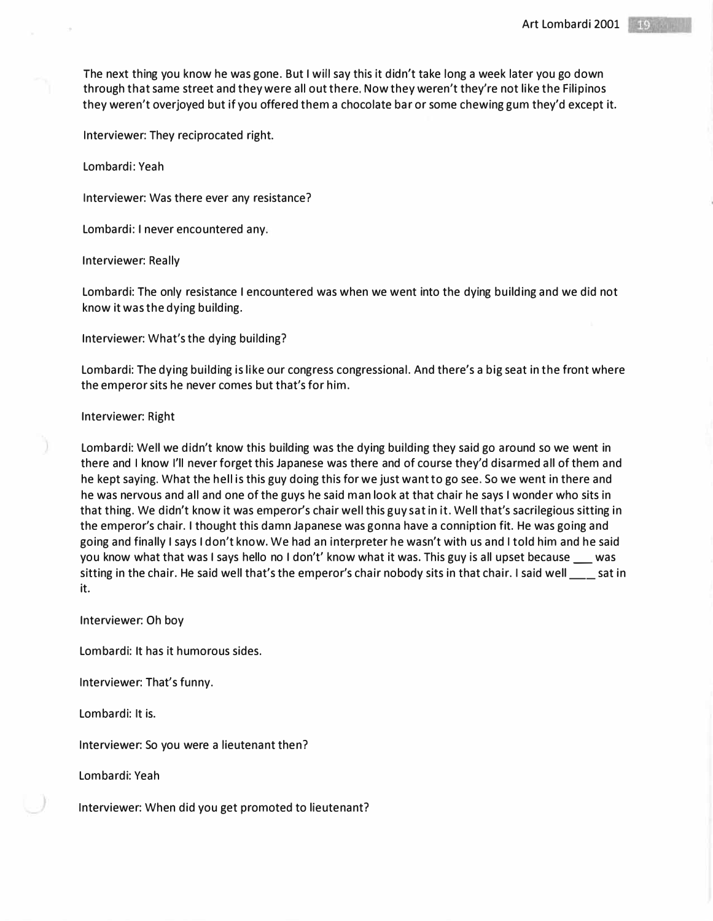The next thing you know he was gone. But I will say this it didn't take long a week later you go down through that same street and they were all out there. Now they weren't they're not like the Filipinos they weren't overjoyed but if you offered them a chocolate bar or some chewing gum they'd except it.

Interviewer: They reciprocated right.

Lombardi: Yeah

Interviewer: Was there ever any resistance?

Lombardi: I never encountered any.

Interviewer: Really

Lombardi: The only resistance I encountered was when we went into the dying building and we did not know it was the dying building.

Interviewer: What's the dying building?

Lombardi: The dying building is like our congress congressional. And there's a big seat in the front where the emperor sits he never comes but that's for him.

Interviewer: Right

Lombardi: Well we didn't know this building was the dying building they said go around so we went in there and I know I'll never forget this Japanese was there and of course they'd disarmed all of them and he kept saying. What the hell is this guy doing this for we just want to go see. So we went in there and he was nervous and all and one of the guys he said man look at that chair he says I wonder who sits in that thing. We didn't know it was emperor's chair well this guy sat in it. Well that's sacrilegious sitting in the emperor's chair. I thought this damn Japanese was gonna have a conniption fit. He was going and going and finally I says I don't know. We had an interpreter he wasn't with us and I told him and he said you know what that was I says hello no I don't' know what it was. This guy is all upset because \_\_\_ was sitting in the chair. He said well that's the emperor's chair nobody sits in that chair. I said well \_\_\_ sat in it.

Interviewer: Oh boy

Lombardi: It has it humorous sides.

Interviewer: That's funny.

Lombardi: It is.

Interviewer: So you were a lieutenant then?

Lombardi: Yeah

Interviewer: When did you get promoted to lieutenant?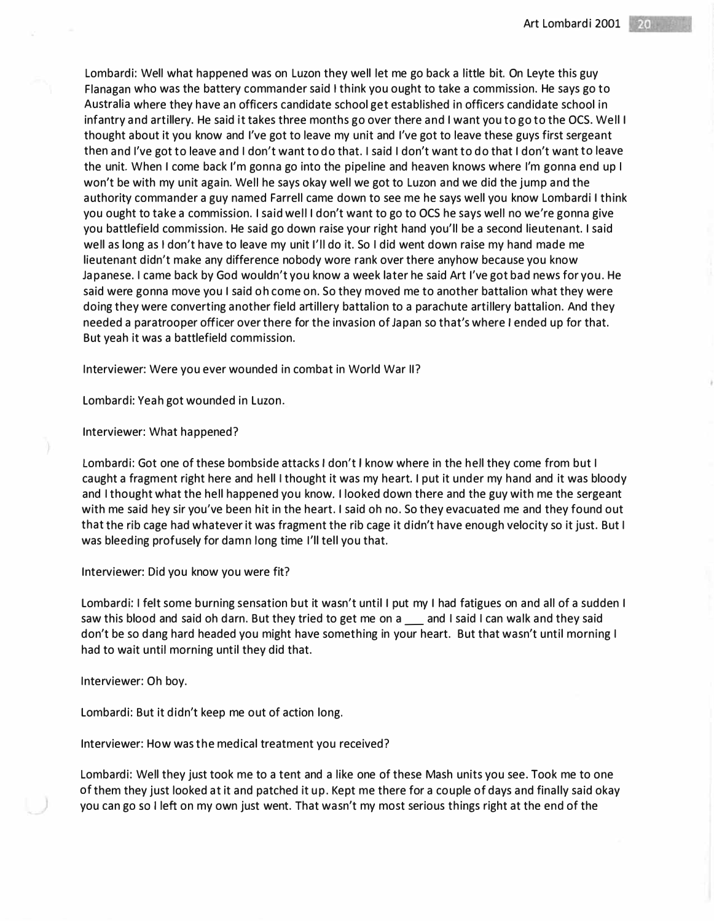Lombardi: Well what happened was on Luzon they well let me go back a little bit. On Leyte this guy Flanagan who was the battery commander said I think you ought to take a commission. He says go to Australia where they have an officers candidate school get established in officers candidate school in infantry and artillery. He said it takes three months go over there and I want you to go to the OCS. Well I thought about it you know and I've got to leave my unit and I've got to leave these guys first sergeant then and I've got to leave and I don't want to do that. I said I don't want to do that I don't want to leave the unit. When I come back I'm gonna go into the pipeline and heaven knows where I'm gonna end up I won't be with my unit again. Well he says okay well we got to Luzon and we did the jump and the authority commander a guy named Farrell came down to see me he says well you know Lombardi I think you ought to take a commission. I said well I don't want to go to OCS he says well no we're gonna give you battlefield commission. He said go down raise your right hand you'll be a second lieutenant. I said well as long as I don't have to leave my unit I'll do it. So I did went down raise my hand made me lieutenant didn't make any difference nobody wore rank over there anyhow because you know Japanese. I came back by God wouldn't you know a week later he said Art I've got bad news for you. He said were gonna move you I said oh come on. So they moved me to another battalion what they were doing they were converting another field artillery battalion to a parachute artillery battalion. And they needed a paratrooper officer over there for the invasion of Japan so that's where I ended up for that. But yeah it was a battlefield commission.

Interviewer: Were you ever wounded in combat in World War II?

Lombardi: Yeah got wounded in Luzon.

Interviewer: What happened?

Lombardi: Got one of these bombside attacks I don't I know where in the hell they come from but I caught a fragment right here and hell I thought it was my heart. I put it under my hand and it was bloody and I thought what the hell happened you know. I looked down there and the guy with me the sergeant with me said hey sir you've been hit in the heart. I said oh no. So they evacuated me and they found out that the rib cage had whatever it was fragment the rib cage it didn't have enough velocity so it just. But I was bleeding profusely for damn long time I'll tell you that.

Interviewer: Did you know you were fit?

Lombardi: I felt some burning sensation but it wasn't until I put my I had fatigues on and all of a sudden I saw this blood and said oh darn. But they tried to get me on a cand I said I can walk and they said don't be so dang hard headed you might have something in your heart. But that wasn't until morning I had to wait until morning until they did that.

Interviewer: Oh boy.

Lombardi: But it didn't keep me out of action long.

Interviewer: How was the medical treatment you received?

Lombardi: Well they just took me to a tent and a like one of these Mash units you see. Took me to one of them they just looked at it and patched it up. Kept me there for a couple of days and finally said okay you can go *so* I left on my own just went. That wasn't my most serious things right at the end of the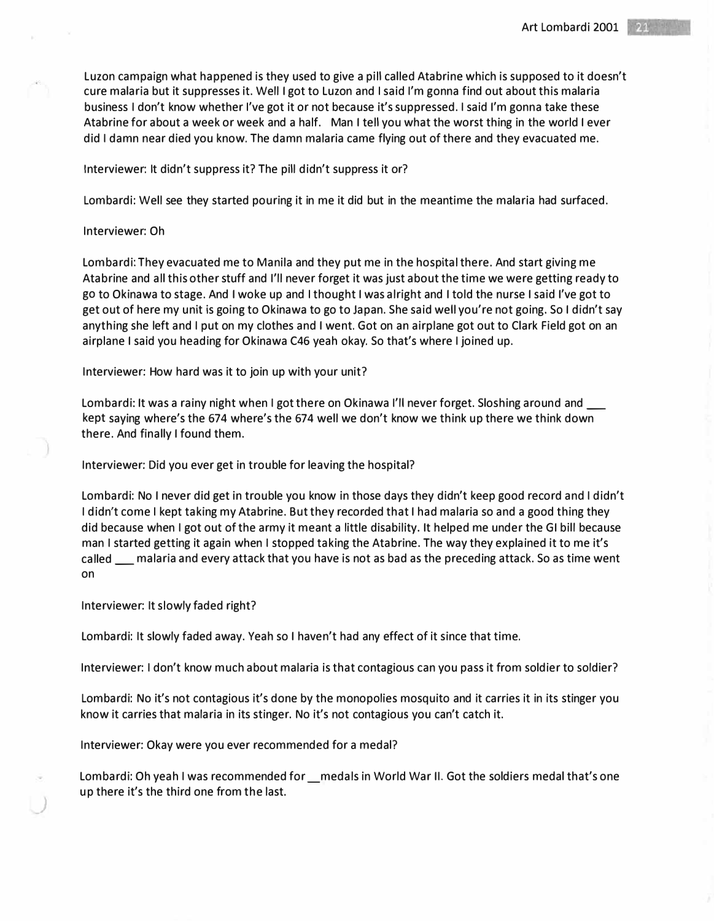Luzon campaign what happened is they used to give a pill called Atabrine which is supposed to it doesn't cure malaria but it suppresses it. Well I got to Luzon and I said I'm gonna find out about this malaria business I don't know whether I've got it or not because it's suppressed. I said I'm gonna take these Atabrine for about a week or week and a half. Man I tell you what the worst thing in the world I ever did I damn near died you know. The damn malaria came flying out of there and they evacuated me.

## Interviewer: It didn't suppress it? The pill didn't suppress it or?

Lombardi: Well see they started pouring it in me it did but in the meantime the malaria had surfaced.

## Interviewer: Oh

Lombardi: They evacuated me to Manila and they put me in the hospital there. And start giving me Atabrine and all this other stuff and I'll never forget it was just about the time we were getting ready to go to Okinawa to stage. And I woke up and I thought I was alright and I told the nurse I said I've got to get out of here my unit is going to Okinawa to go to Japan. She said well you're not going. So I didn't say anything she left and I put on my clothes and I went. Got on an airplane got out to Clark Field got on an airplane I said you heading for Okinawa C46 yeah okay. So that's where I joined up.

Interviewer: How hard was it to join up with your unit?

Lombardi: It was a rainy night when I got there on Okinawa I'll never forget. Sloshing around and kept saying where's the 674 where's the 674 well we don't know we think up there we think down there. And finally I found them.

Interviewer: Did you ever get in trouble for leaving the hospital?

Lombardi: No I never did get in trouble you know in those days they didn't keep good record and I didn't I didn't come I kept taking my Atabrine. But they recorded that I had malaria so and a good thing they did because when I got out of the army it meant a little disability. It helped me under the GI bill because man I started getting it again when I stopped taking the Atabrine. The way they explained it to me it's called  $\_\_\_$  malaria and every attack that you have is not as bad as the preceding attack. So as time went on

### Interviewer: It slowly faded right?

*)* 

Lombardi: It slowly faded away. Yeah so I haven't had any effect of it since that time.

Interviewer: I don't know much about malaria is that contagious can you pass it from soldier to soldier?

Lombardi: No it's not contagious it's done by the monopolies mosquito and it carries it in its stinger you know it carries that malaria in its stinger. No it's not contagious you can't catch it.

Interviewer: Okay were you ever recommended for a medal?

Lombardi: Oh yeah I was recommended for \_medals in World War II. Got the soldiers medal that's one up there it's the third one from the last.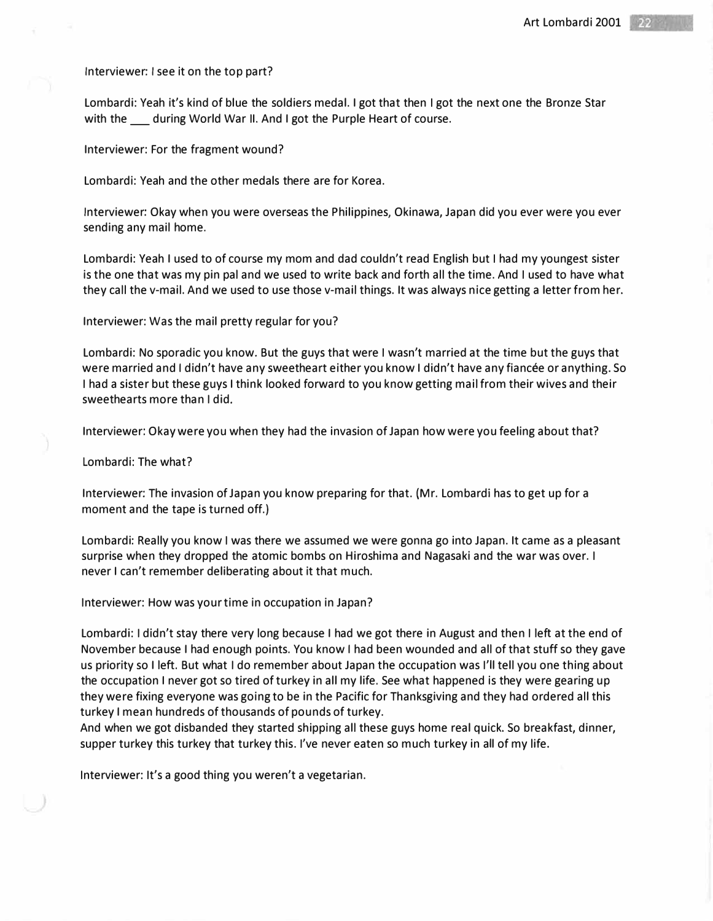Interviewer: I see it on the top part?

Lombardi: Yeah it's kind of blue the soldiers medal. I got that then I got the next one the Bronze Star with the during World War II. And I got the Purple Heart of course.

Interviewer: For the fragment wound?

Lombardi: Yeah and the other medals there are for Korea.

Interviewer: Okay when you were overseas the Philippines, Okinawa, Japan did you ever were you ever sending any mail home.

Lombardi: Yeah I used to of course my mom and dad couldn't read English but I had my youngest sister is the one that was my pin pal and we used to write back and forth all the time. And I used to have what they call the v-mail. And we used to use those v-mail things. It was always nice getting a letter from her.

Interviewer: Was the mail pretty regular for you?

Lombardi: No sporadic you know. But the guys that were I wasn't married at the time but the guys that were married and I didn't have any sweetheart either you know I didn't have any fiancee or anything. So I had a sister but these guys I think looked forward to you know getting mail from their wives and their sweethearts more than I did.

Interviewer: Okay were you when they had the invasion of Japan how were you feeling about that?

Lombardi: The what?

Interviewer: The invasion of Japan you know preparing for that. (Mr. Lombardi has to get up for a moment and the tape is turned off.)

Lombardi: Really you know I was there we assumed we were gonna go into Japan. It came as a pleasant surprise when they dropped the atomic bombs on Hiroshima and Nagasaki and the war was over. I never I can't remember deliberating about it that much.

Interviewer: How was your time in occupation in Japan?

Lombardi: I didn't stay there very long because I had we got there in August and then I left at the end of November because I had enough points. You know I had been wounded and all of that stuff so they gave us priority so I left. But what I do remember about Japan the occupation was I'll tell you one thing about the occupation I never got so tired of turkey in all my life. See what happened is they were gearing up they were fixing everyone was going to be in the Pacific for Thanksgiving and they had ordered all this turkey I mean hundreds of thousands of pounds of turkey.

And when we got disbanded they started shipping all these guys home real quick. So breakfast, dinner, supper turkey this turkey that turkey this. I've never eaten so much turkey in all of my life.

Interviewer: It's a good thing you weren't a vegetarian.